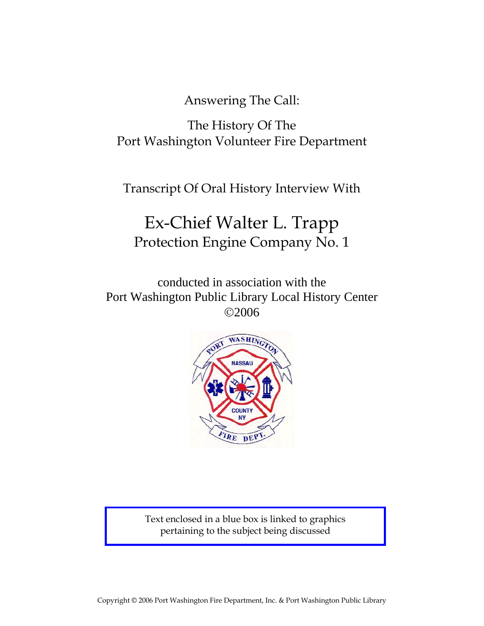Answering The Call:

The History Of The Port Washington Volunteer Fire Department

Transcript Of Oral History Interview With

## Ex-Chief Walter L. Trapp Protection Engine Company No. 1

conducted in association with the Port Washington Public Library Local History Center ©2006



Text enclosed in a blue box is linked to graphics pertaining to the subject being discussed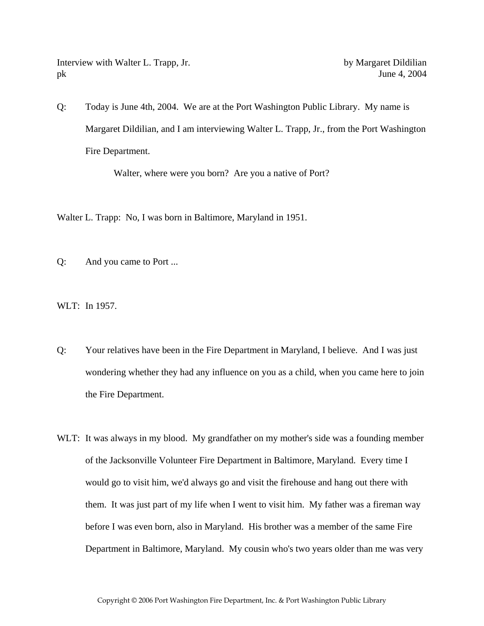Interview with Walter L. Trapp, Jr. by Margaret Dildilian pk June 4, 2004

Q: Today is June 4th, 2004. We are at the Port Washington Public Library. My name is Margaret Dildilian, and I am interviewing Walter L. Trapp, Jr., from the Port Washington Fire Department.

Walter, where were you born? Are you a native of Port?

Walter L. Trapp: No, I was born in Baltimore, Maryland in 1951.

Q: And you came to Port ...

WLT: In 1957.

- Q: Your relatives have been in the Fire Department in Maryland, I believe. And I was just wondering whether they had any influence on you as a child, when you came here to join the Fire Department.
- WLT: It was always in my blood. My grandfather on my mother's side was a founding member of the Jacksonville Volunteer Fire Department in Baltimore, Maryland. Every time I would go to visit him, we'd always go and visit the firehouse and hang out there with them. It was just part of my life when I went to visit him. My father was a fireman way before I was even born, also in Maryland. His brother was a member of the same Fire Department in Baltimore, Maryland. My cousin who's two years older than me was very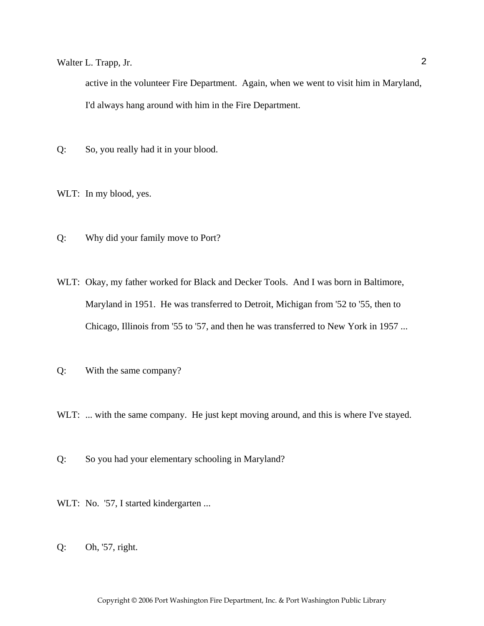active in the volunteer Fire Department. Again, when we went to visit him in Maryland, I'd always hang around with him in the Fire Department.

Q: So, you really had it in your blood.

WLT: In my blood, yes.

- Q: Why did your family move to Port?
- WLT: Okay, my father worked for Black and Decker Tools. And I was born in Baltimore, Maryland in 1951. He was transferred to Detroit, Michigan from '52 to '55, then to Chicago, Illinois from '55 to '57, and then he was transferred to New York in 1957 ...
- Q: With the same company?

WLT: ... with the same company. He just kept moving around, and this is where I've stayed.

Q: So you had your elementary schooling in Maryland?

WLT: No. '57, I started kindergarten ...

Q: Oh, '57, right.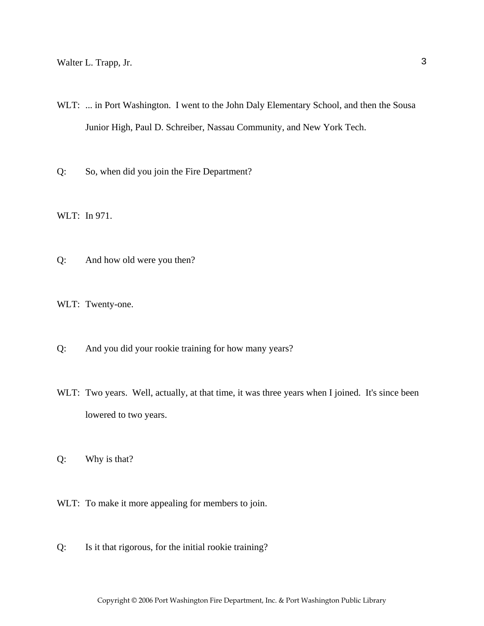WLT: ... in Port Washington. I went to the John Daly Elementary School, and then the Sousa Junior High, Paul D. Schreiber, Nassau Community, and New York Tech.

Q: So, when did you join the Fire Department?

WLT: In 971.

Q: And how old were you then?

WLT: Twenty-one.

- Q: And you did your rookie training for how many years?
- WLT: Two years. Well, actually, at that time, it was three years when I joined. It's since been lowered to two years.
- Q: Why is that?
- WLT: To make it more appealing for members to join.
- Q: Is it that rigorous, for the initial rookie training?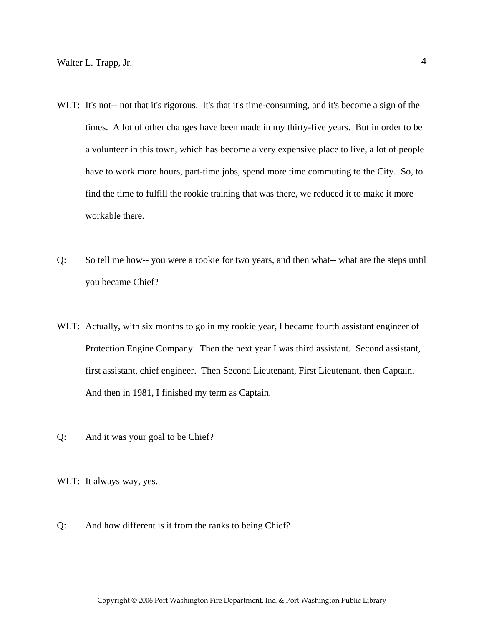- WLT: It's not-- not that it's rigorous. It's that it's time-consuming, and it's become a sign of the times. A lot of other changes have been made in my thirty-five years. But in order to be a volunteer in this town, which has become a very expensive place to live, a lot of people have to work more hours, part-time jobs, spend more time commuting to the City. So, to find the time to fulfill the rookie training that was there, we reduced it to make it more workable there.
- Q: So tell me how-- you were a rookie for two years, and then what-- what are the steps until you became Chief?
- WLT: Actually, with six months to go in my rookie year, I became fourth assistant engineer of Protection Engine Company. Then the next year I was third assistant. Second assistant, first assistant, chief engineer. Then Second Lieutenant, First Lieutenant, then Captain. And then in 1981, I finished my term as Captain.
- Q: And it was your goal to be Chief?

WLT: It always way, yes.

Q: And how different is it from the ranks to being Chief?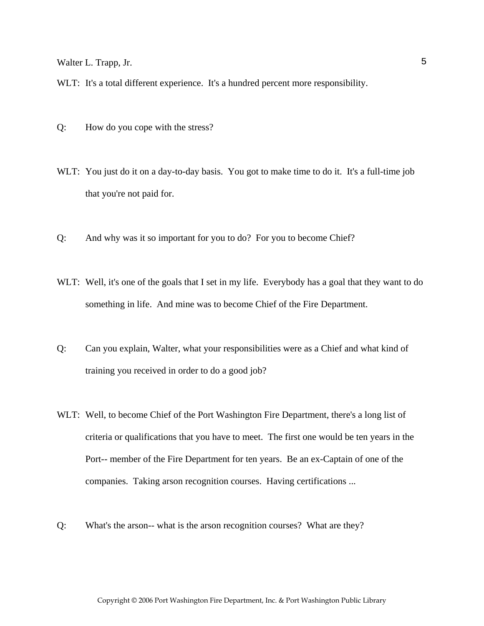WLT: It's a total different experience. It's a hundred percent more responsibility.

- Q: How do you cope with the stress?
- WLT: You just do it on a day-to-day basis. You got to make time to do it. It's a full-time job that you're not paid for.
- Q: And why was it so important for you to do? For you to become Chief?
- WLT: Well, it's one of the goals that I set in my life. Everybody has a goal that they want to do something in life. And mine was to become Chief of the Fire Department.
- Q: Can you explain, Walter, what your responsibilities were as a Chief and what kind of training you received in order to do a good job?
- WLT: Well, to become Chief of the Port Washington Fire Department, there's a long list of criteria or qualifications that you have to meet. The first one would be ten years in the Port-- member of the Fire Department for ten years. Be an ex-Captain of one of the companies. Taking arson recognition courses. Having certifications ...
- Q: What's the arson-- what is the arson recognition courses? What are they?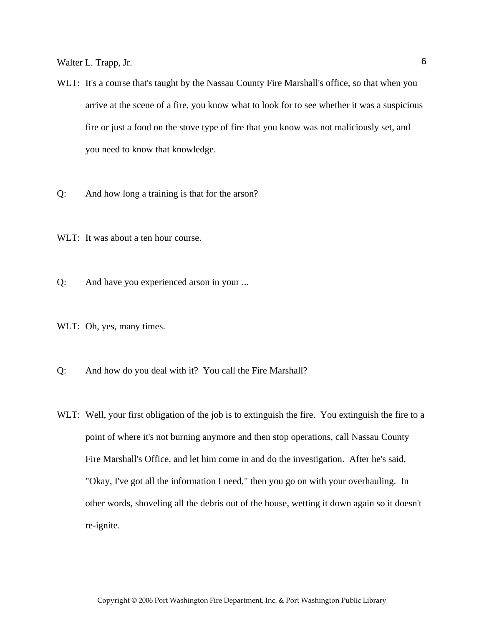- WLT: It's a course that's taught by the Nassau County Fire Marshall's office, so that when you arrive at the scene of a fire, you know what to look for to see whether it was a suspicious fire or just a food on the stove type of fire that you know was not maliciously set, and you need to know that knowledge.
- Q: And how long a training is that for the arson?

WLT: It was about a ten hour course.

Q: And have you experienced arson in your ...

WLT: Oh, yes, many times.

- Q: And how do you deal with it? You call the Fire Marshall?
- WLT: Well, your first obligation of the job is to extinguish the fire. You extinguish the fire to a point of where it's not burning anymore and then stop operations, call Nassau County Fire Marshall's Office, and let him come in and do the investigation. After he's said, "Okay, I've got all the information I need," then you go on with your overhauling. In other words, shoveling all the debris out of the house, wetting it down again so it doesn't re-ignite.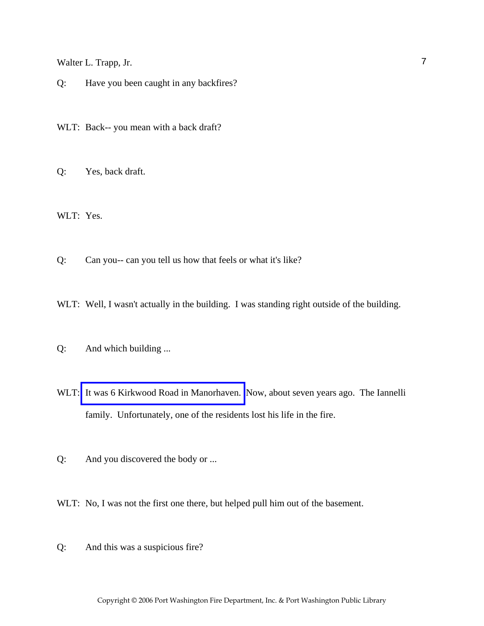Q: Have you been caught in any backfires?

WLT: Back-- you mean with a back draft?

Q: Yes, back draft.

WLT: Yes.

Q: Can you-- can you tell us how that feels or what it's like?

WLT: Well, I wasn't actually in the building. I was standing right outside of the building.

- Q: And which building ...
- WLT: [It was 6 Kirkwood Road in Manorhaven.](http://www.pwfdhistory.com/trans/trappw_trans/pwfd_news065.pdf) Now, about seven years ago. The Iannelli family. Unfortunately, one of the residents lost his life in the fire.

Q: And you discovered the body or ...

WLT: No, I was not the first one there, but helped pull him out of the basement.

Q: And this was a suspicious fire?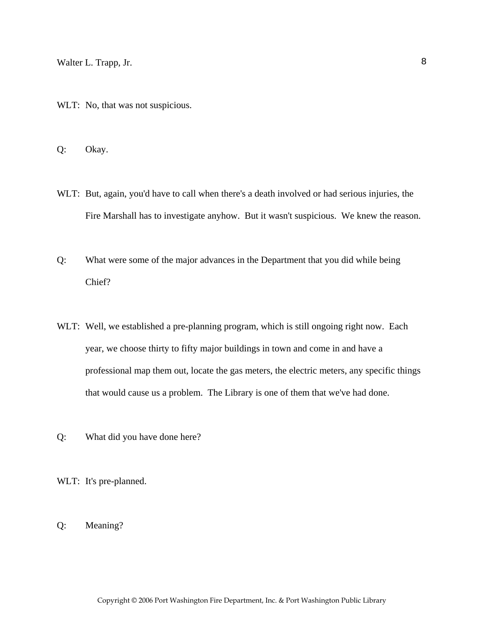WLT: No, that was not suspicious.

Q: Okay.

- WLT: But, again, you'd have to call when there's a death involved or had serious injuries, the Fire Marshall has to investigate anyhow. But it wasn't suspicious. We knew the reason.
- Q: What were some of the major advances in the Department that you did while being Chief?
- WLT: Well, we established a pre-planning program, which is still ongoing right now. Each year, we choose thirty to fifty major buildings in town and come in and have a professional map them out, locate the gas meters, the electric meters, any specific things that would cause us a problem. The Library is one of them that we've had done.
- Q: What did you have done here?

WLT: It's pre-planned.

Q: Meaning?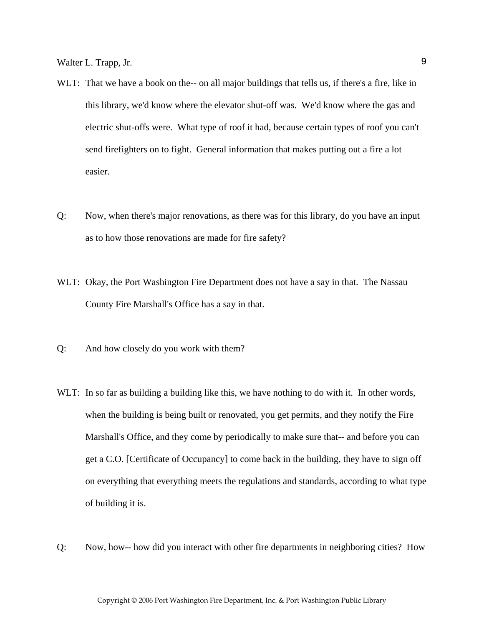- WLT: That we have a book on the-- on all major buildings that tells us, if there's a fire, like in this library, we'd know where the elevator shut-off was. We'd know where the gas and electric shut-offs were. What type of roof it had, because certain types of roof you can't send firefighters on to fight. General information that makes putting out a fire a lot easier.
- Q: Now, when there's major renovations, as there was for this library, do you have an input as to how those renovations are made for fire safety?
- WLT: Okay, the Port Washington Fire Department does not have a say in that. The Nassau County Fire Marshall's Office has a say in that.
- Q: And how closely do you work with them?
- WLT: In so far as building a building like this, we have nothing to do with it. In other words, when the building is being built or renovated, you get permits, and they notify the Fire Marshall's Office, and they come by periodically to make sure that-- and before you can get a C.O. [Certificate of Occupancy] to come back in the building, they have to sign off on everything that everything meets the regulations and standards, according to what type of building it is.
- Q: Now, how-- how did you interact with other fire departments in neighboring cities? How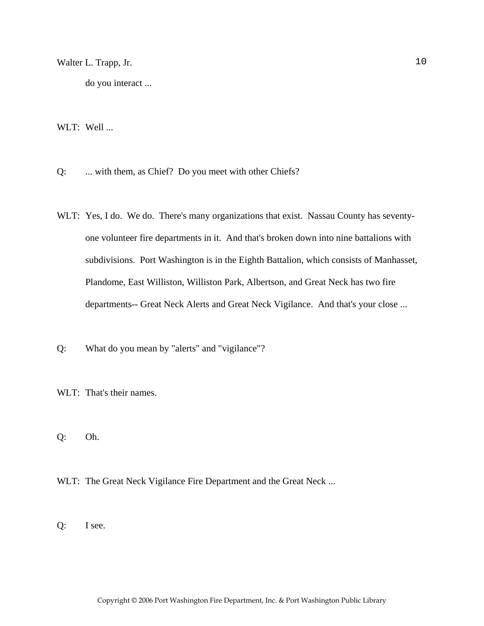do you interact ...

WLT: Well ...

Q: ... with them, as Chief? Do you meet with other Chiefs?

WLT: Yes, I do. We do. There's many organizations that exist. Nassau County has seventyone volunteer fire departments in it. And that's broken down into nine battalions with subdivisions. Port Washington is in the Eighth Battalion, which consists of Manhasset, Plandome, East Williston, Williston Park, Albertson, and Great Neck has two fire departments-- Great Neck Alerts and Great Neck Vigilance. And that's your close ...

Q: What do you mean by "alerts" and "vigilance"?

WLT: That's their names.

Q: Oh.

WLT: The Great Neck Vigilance Fire Department and the Great Neck ...

Q: I see.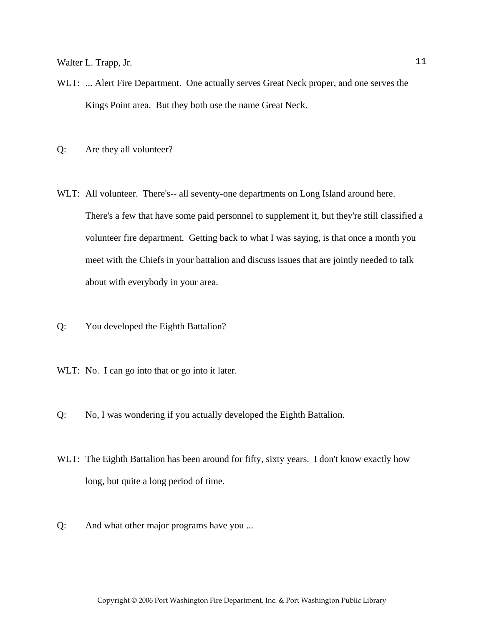- WLT: ... Alert Fire Department. One actually serves Great Neck proper, and one serves the Kings Point area. But they both use the name Great Neck.
- Q: Are they all volunteer?
- WLT: All volunteer. There's-- all seventy-one departments on Long Island around here. There's a few that have some paid personnel to supplement it, but they're still classified a volunteer fire department. Getting back to what I was saying, is that once a month you meet with the Chiefs in your battalion and discuss issues that are jointly needed to talk about with everybody in your area.
- Q: You developed the Eighth Battalion?
- WLT: No. I can go into that or go into it later.
- Q: No, I was wondering if you actually developed the Eighth Battalion.
- WLT: The Eighth Battalion has been around for fifty, sixty years. I don't know exactly how long, but quite a long period of time.
- Q: And what other major programs have you ...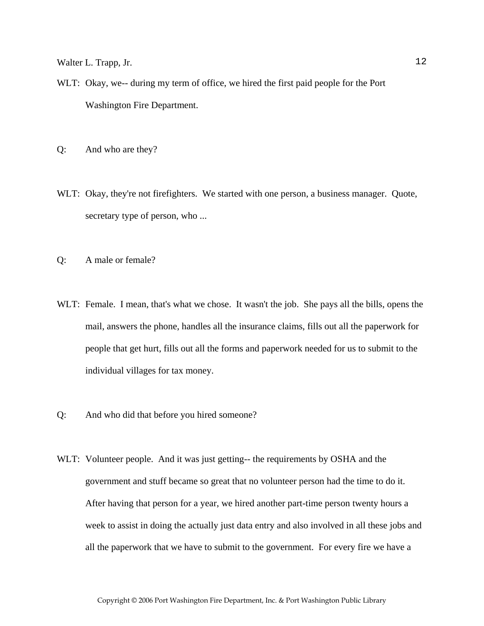- WLT: Okay, we-- during my term of office, we hired the first paid people for the Port Washington Fire Department.
- Q: And who are they?
- WLT: Okay, they're not firefighters. We started with one person, a business manager. Quote, secretary type of person, who ...
- Q: A male or female?
- WLT: Female. I mean, that's what we chose. It wasn't the job. She pays all the bills, opens the mail, answers the phone, handles all the insurance claims, fills out all the paperwork for people that get hurt, fills out all the forms and paperwork needed for us to submit to the individual villages for tax money.
- Q: And who did that before you hired someone?
- WLT: Volunteer people. And it was just getting-- the requirements by OSHA and the government and stuff became so great that no volunteer person had the time to do it. After having that person for a year, we hired another part-time person twenty hours a week to assist in doing the actually just data entry and also involved in all these jobs and all the paperwork that we have to submit to the government. For every fire we have a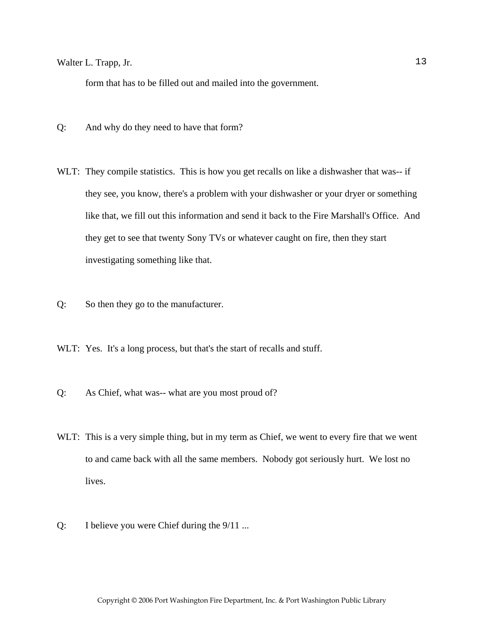form that has to be filled out and mailed into the government.

- Q: And why do they need to have that form?
- WLT: They compile statistics. This is how you get recalls on like a dishwasher that was-- if they see, you know, there's a problem with your dishwasher or your dryer or something like that, we fill out this information and send it back to the Fire Marshall's Office. And they get to see that twenty Sony TVs or whatever caught on fire, then they start investigating something like that.
- Q: So then they go to the manufacturer.
- WLT: Yes. It's a long process, but that's the start of recalls and stuff.
- Q: As Chief, what was-- what are you most proud of?
- WLT: This is a very simple thing, but in my term as Chief, we went to every fire that we went to and came back with all the same members. Nobody got seriously hurt. We lost no lives.
- Q: I believe you were Chief during the 9/11 ...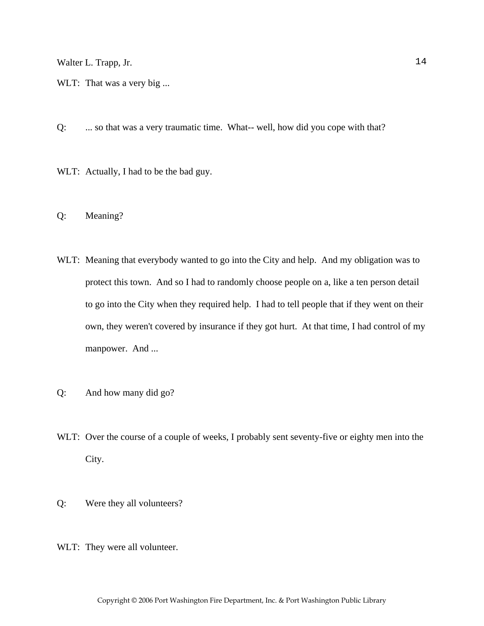- WLT: That was a very big ...
- Q: ... so that was a very traumatic time. What-- well, how did you cope with that?
- WLT: Actually, I had to be the bad guy.
- Q: Meaning?
- WLT: Meaning that everybody wanted to go into the City and help. And my obligation was to protect this town. And so I had to randomly choose people on a, like a ten person detail to go into the City when they required help. I had to tell people that if they went on their own, they weren't covered by insurance if they got hurt. At that time, I had control of my manpower. And ...
- Q: And how many did go?
- WLT: Over the course of a couple of weeks, I probably sent seventy-five or eighty men into the City.
- Q: Were they all volunteers?
- WLT: They were all volunteer.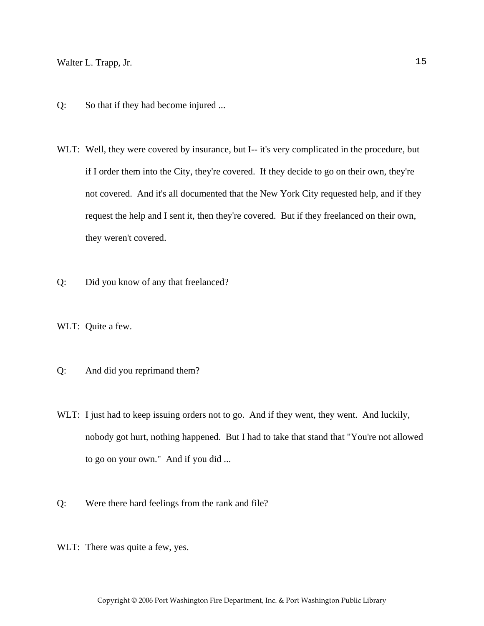- Q: So that if they had become injured ...
- WLT: Well, they were covered by insurance, but I-- it's very complicated in the procedure, but if I order them into the City, they're covered. If they decide to go on their own, they're not covered. And it's all documented that the New York City requested help, and if they request the help and I sent it, then they're covered. But if they freelanced on their own, they weren't covered.
- Q: Did you know of any that freelanced?
- WLT: Quite a few.
- Q: And did you reprimand them?
- WLT: I just had to keep issuing orders not to go. And if they went, they went. And luckily, nobody got hurt, nothing happened. But I had to take that stand that "You're not allowed to go on your own." And if you did ...
- Q: Were there hard feelings from the rank and file?
- WLT: There was quite a few, yes.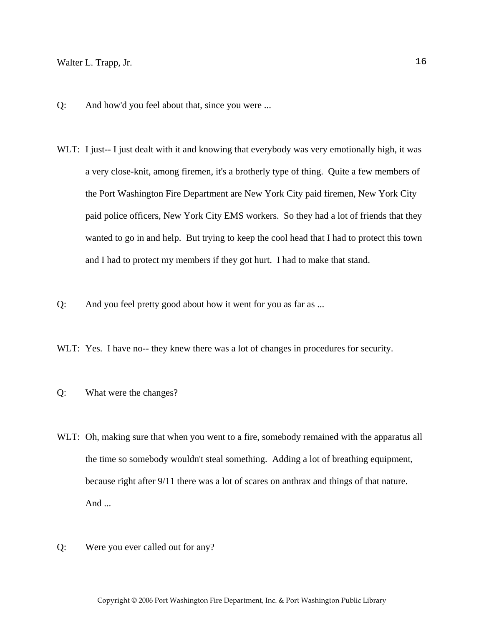- Q: And how'd you feel about that, since you were ...
- WLT: I just-- I just dealt with it and knowing that everybody was very emotionally high, it was a very close-knit, among firemen, it's a brotherly type of thing. Quite a few members of the Port Washington Fire Department are New York City paid firemen, New York City paid police officers, New York City EMS workers. So they had a lot of friends that they wanted to go in and help. But trying to keep the cool head that I had to protect this town and I had to protect my members if they got hurt. I had to make that stand.
- Q: And you feel pretty good about how it went for you as far as ...
- WLT: Yes. I have no-- they knew there was a lot of changes in procedures for security.
- Q: What were the changes?
- WLT: Oh, making sure that when you went to a fire, somebody remained with the apparatus all the time so somebody wouldn't steal something. Adding a lot of breathing equipment, because right after 9/11 there was a lot of scares on anthrax and things of that nature. And ...
- Q: Were you ever called out for any?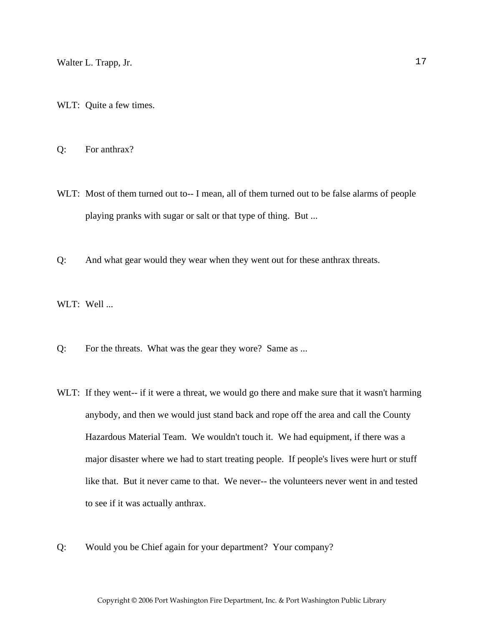- WLT: Quite a few times.
- Q: For anthrax?
- WLT: Most of them turned out to-- I mean, all of them turned out to be false alarms of people playing pranks with sugar or salt or that type of thing. But ...
- Q: And what gear would they wear when they went out for these anthrax threats.
- WLT: Well ...
- Q: For the threats. What was the gear they wore? Same as ...
- WLT: If they went-- if it were a threat, we would go there and make sure that it wasn't harming anybody, and then we would just stand back and rope off the area and call the County Hazardous Material Team. We wouldn't touch it. We had equipment, if there was a major disaster where we had to start treating people. If people's lives were hurt or stuff like that. But it never came to that. We never-- the volunteers never went in and tested to see if it was actually anthrax.
- Q: Would you be Chief again for your department? Your company?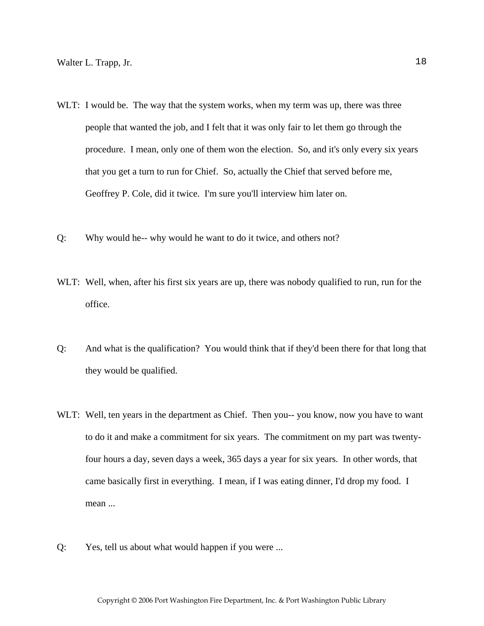- WLT: I would be. The way that the system works, when my term was up, there was three people that wanted the job, and I felt that it was only fair to let them go through the procedure. I mean, only one of them won the election. So, and it's only every six years that you get a turn to run for Chief. So, actually the Chief that served before me, Geoffrey P. Cole, did it twice. I'm sure you'll interview him later on.
- Q: Why would he-- why would he want to do it twice, and others not?
- WLT: Well, when, after his first six years are up, there was nobody qualified to run, run for the office.
- Q: And what is the qualification? You would think that if they'd been there for that long that they would be qualified.
- WLT: Well, ten years in the department as Chief. Then you--you know, now you have to want to do it and make a commitment for six years. The commitment on my part was twentyfour hours a day, seven days a week, 365 days a year for six years. In other words, that came basically first in everything. I mean, if I was eating dinner, I'd drop my food. I mean ...
- Q: Yes, tell us about what would happen if you were ...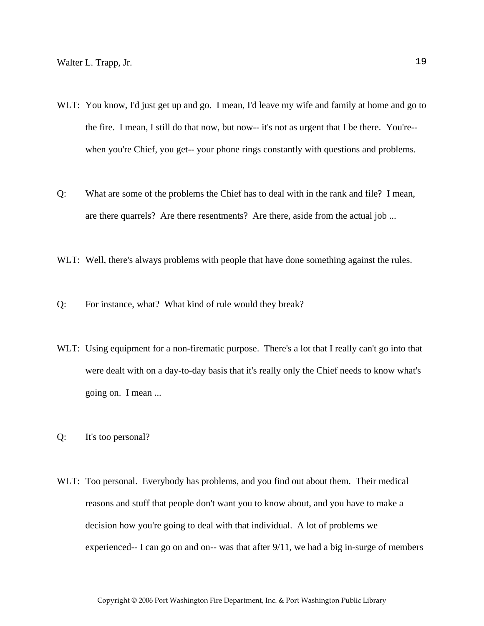- WLT: You know, I'd just get up and go. I mean, I'd leave my wife and family at home and go to the fire. I mean, I still do that now, but now-- it's not as urgent that I be there. You're- when you're Chief, you get-- your phone rings constantly with questions and problems.
- Q: What are some of the problems the Chief has to deal with in the rank and file? I mean, are there quarrels? Are there resentments? Are there, aside from the actual job ...
- WLT: Well, there's always problems with people that have done something against the rules.
- Q: For instance, what? What kind of rule would they break?
- WLT: Using equipment for a non-firematic purpose. There's a lot that I really can't go into that were dealt with on a day-to-day basis that it's really only the Chief needs to know what's going on. I mean ...
- Q: It's too personal?
- WLT: Too personal. Everybody has problems, and you find out about them. Their medical reasons and stuff that people don't want you to know about, and you have to make a decision how you're going to deal with that individual. A lot of problems we experienced-- I can go on and on-- was that after 9/11, we had a big in-surge of members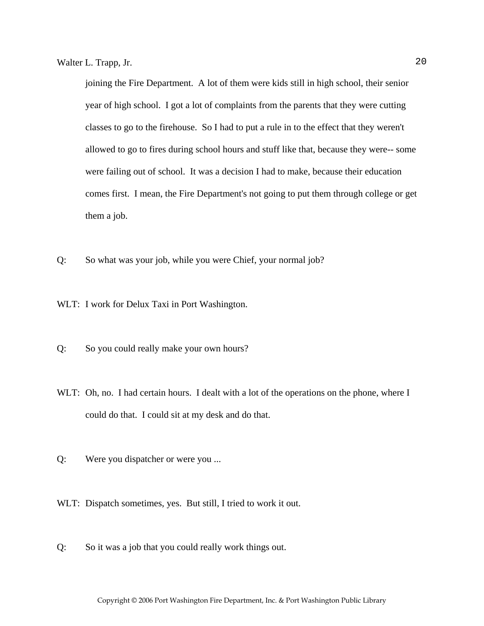joining the Fire Department. A lot of them were kids still in high school, their senior year of high school. I got a lot of complaints from the parents that they were cutting classes to go to the firehouse. So I had to put a rule in to the effect that they weren't allowed to go to fires during school hours and stuff like that, because they were-- some were failing out of school. It was a decision I had to make, because their education comes first. I mean, the Fire Department's not going to put them through college or get them a job.

Q: So what was your job, while you were Chief, your normal job?

WLT: I work for Delux Taxi in Port Washington.

- Q: So you could really make your own hours?
- WLT: Oh, no. I had certain hours. I dealt with a lot of the operations on the phone, where I could do that. I could sit at my desk and do that.
- Q: Were you dispatcher or were you ...
- WLT: Dispatch sometimes, yes. But still, I tried to work it out.
- Q: So it was a job that you could really work things out.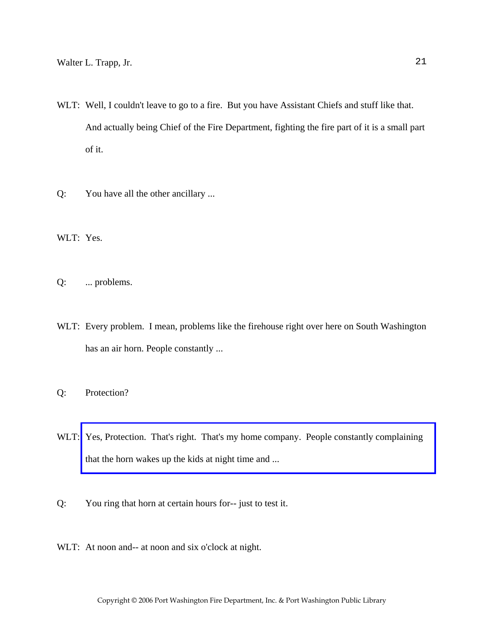- WLT: Well, I couldn't leave to go to a fire. But you have Assistant Chiefs and stuff like that. And actually being Chief of the Fire Department, fighting the fire part of it is a small part of it.
- Q: You have all the other ancillary ...

WLT: Yes.

Q: ... problems.

- WLT: Every problem. I mean, problems like the firehouse right over here on South Washington has an air horn. People constantly ...
- Q: Protection?
- WLT: Yes, Protection. That's right. That's my home company. People constantly complaining that the horn wakes up the kids at night time and ...
- Q: You ring that horn at certain hours for-- just to test it.
- WLT: At noon and-- at noon and six o'clock at night.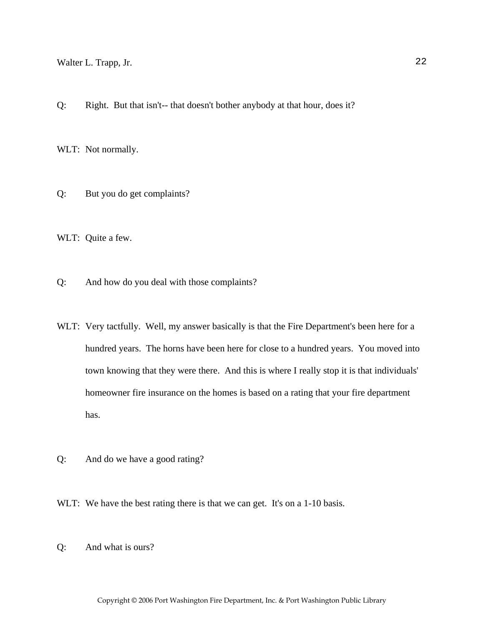Q: Right. But that isn't-- that doesn't bother anybody at that hour, does it?

WLT: Not normally.

Q: But you do get complaints?

WLT: Quite a few.

Q: And how do you deal with those complaints?

- WLT: Very tactfully. Well, my answer basically is that the Fire Department's been here for a hundred years. The horns have been here for close to a hundred years. You moved into town knowing that they were there. And this is where I really stop it is that individuals' homeowner fire insurance on the homes is based on a rating that your fire department has.
- Q: And do we have a good rating?
- WLT: We have the best rating there is that we can get. It's on a 1-10 basis.
- Q: And what is ours?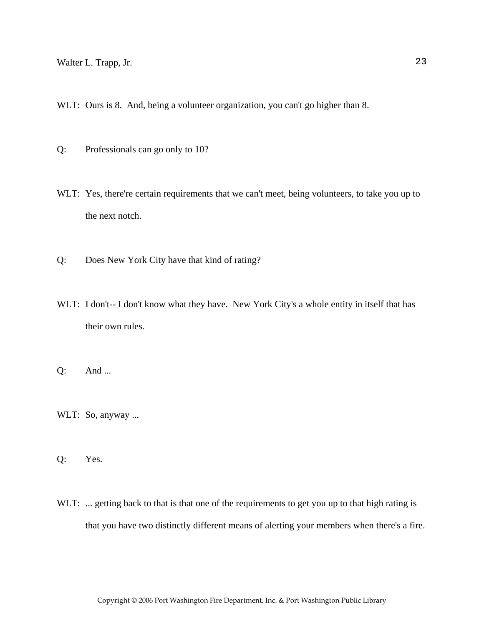WLT: Ours is 8. And, being a volunteer organization, you can't go higher than 8.

Q: Professionals can go only to 10?

- WLT: Yes, there're certain requirements that we can't meet, being volunteers, to take you up to the next notch.
- Q: Does New York City have that kind of rating?
- WLT: I don't-- I don't know what they have. New York City's a whole entity in itself that has their own rules.

Q: And ...

WLT: So, anyway ...

Q: Yes.

WLT: ... getting back to that is that one of the requirements to get you up to that high rating is that you have two distinctly different means of alerting your members when there's a fire.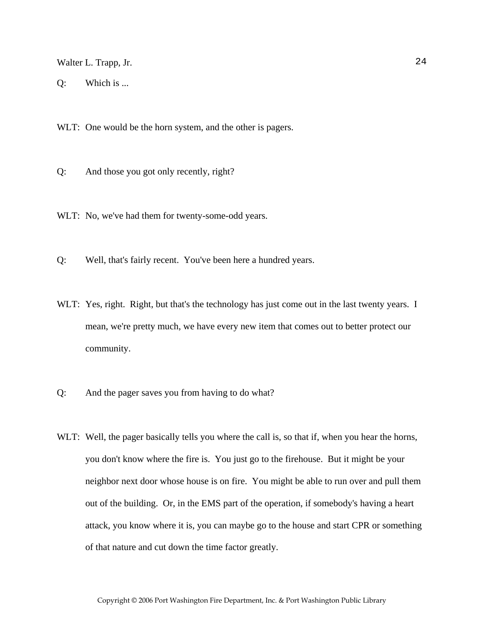Q: Which is ...

WLT: One would be the horn system, and the other is pagers.

Q: And those you got only recently, right?

WLT: No, we've had them for twenty-some-odd years.

Q: Well, that's fairly recent. You've been here a hundred years.

- WLT: Yes, right. Right, but that's the technology has just come out in the last twenty years. I mean, we're pretty much, we have every new item that comes out to better protect our community.
- Q: And the pager saves you from having to do what?
- WLT: Well, the pager basically tells you where the call is, so that if, when you hear the horns, you don't know where the fire is. You just go to the firehouse. But it might be your neighbor next door whose house is on fire. You might be able to run over and pull them out of the building. Or, in the EMS part of the operation, if somebody's having a heart attack, you know where it is, you can maybe go to the house and start CPR or something of that nature and cut down the time factor greatly.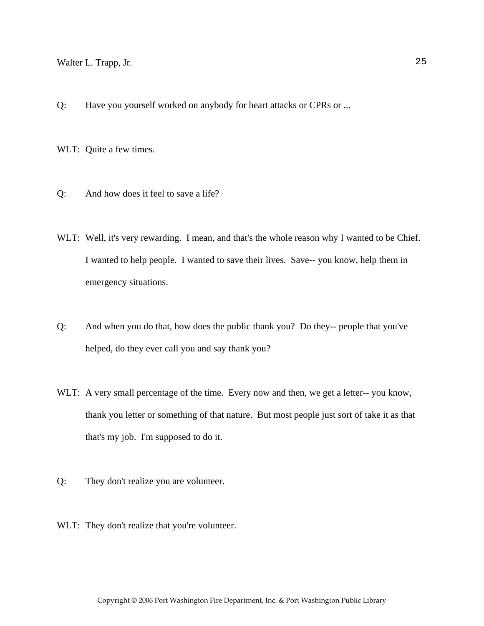Q: Have you yourself worked on anybody for heart attacks or CPRs or ...

WLT: Quite a few times.

- Q: And how does it feel to save a life?
- WLT: Well, it's very rewarding. I mean, and that's the whole reason why I wanted to be Chief. I wanted to help people. I wanted to save their lives. Save-- you know, help them in emergency situations.
- Q: And when you do that, how does the public thank you? Do they-- people that you've helped, do they ever call you and say thank you?
- WLT: A very small percentage of the time. Every now and then, we get a letter-- you know, thank you letter or something of that nature. But most people just sort of take it as that that's my job. I'm supposed to do it.
- Q: They don't realize you are volunteer.
- WLT: They don't realize that you're volunteer.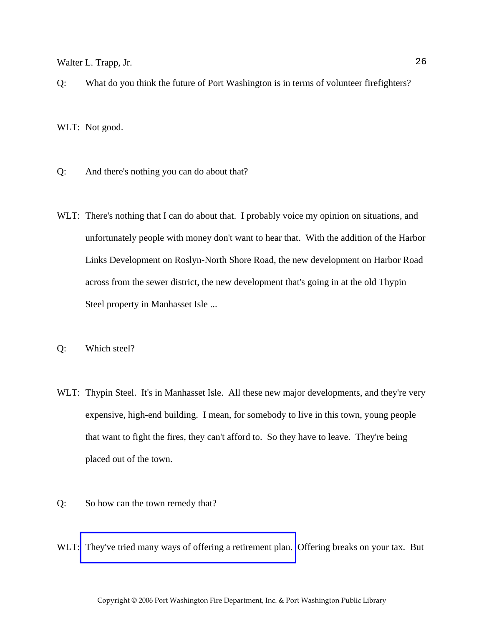Q: What do you think the future of Port Washington is in terms of volunteer firefighters?

WLT: Not good.

- Q: And there's nothing you can do about that?
- WLT: There's nothing that I can do about that. I probably voice my opinion on situations, and unfortunately people with money don't want to hear that. With the addition of the Harbor Links Development on Roslyn-North Shore Road, the new development on Harbor Road across from the sewer district, the new development that's going in at the old Thypin Steel property in Manhasset Isle ...
- Q: Which steel?
- WLT: Thypin Steel. It's in Manhasset Isle. All these new major developments, and they're very expensive, high-end building. I mean, for somebody to live in this town, young people that want to fight the fires, they can't afford to. So they have to leave. They're being placed out of the town.
- Q: So how can the town remedy that?
- WLT: [They've tried many ways of offering a retirement plan.](http://www.pwfdhistory.com/trans/trappw_trans/losap.pdf) Offering breaks on your tax. But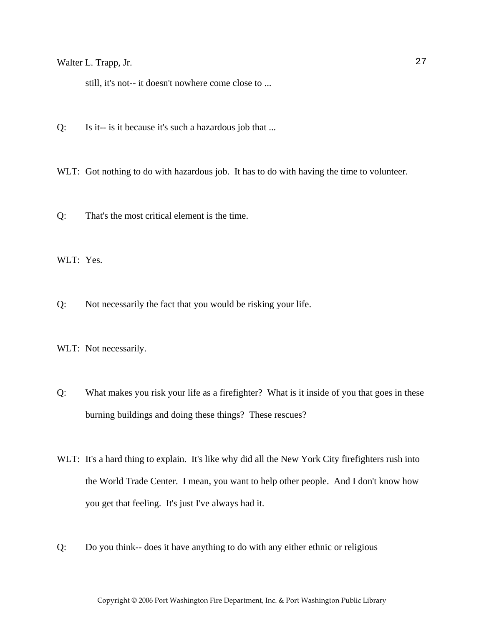still, it's not-- it doesn't nowhere come close to ...

Q: Is it-- is it because it's such a hazardous job that ...

WLT: Got nothing to do with hazardous job. It has to do with having the time to volunteer.

Q: That's the most critical element is the time.

WLT: Yes.

Q: Not necessarily the fact that you would be risking your life.

WLT: Not necessarily.

Q: What makes you risk your life as a firefighter? What is it inside of you that goes in these burning buildings and doing these things? These rescues?

WLT: It's a hard thing to explain. It's like why did all the New York City firefighters rush into the World Trade Center. I mean, you want to help other people. And I don't know how you get that feeling. It's just I've always had it.

Q: Do you think-- does it have anything to do with any either ethnic or religious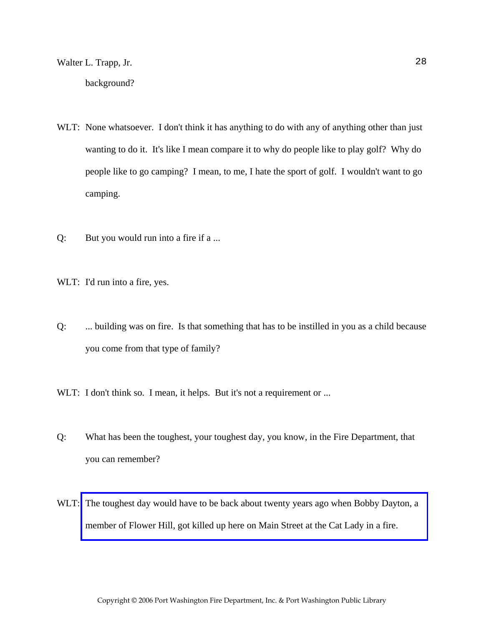- WLT: None whatsoever. I don't think it has anything to do with any of anything other than just wanting to do it. It's like I mean compare it to why do people like to play golf? Why do
- people like to go camping? I mean, to me, I hate the sport of golf. I wouldn't want to go camping.
- Q: But you would run into a fire if a ...

WLT: I'd run into a fire, yes.

- Q: ... building was on fire. Is that something that has to be instilled in you as a child because you come from that type of family?
- WLT: I don't think so. I mean, it helps. But it's not a requirement or ...
- Q: What has been the toughest, your toughest day, you know, in the Fire Department, that you can remember?
- WLT: The toughest day would have to be back about twenty years ago when Bobby Dayton, a member of Flower Hill, got killed up here on Main Street at the Cat Lady in a fire.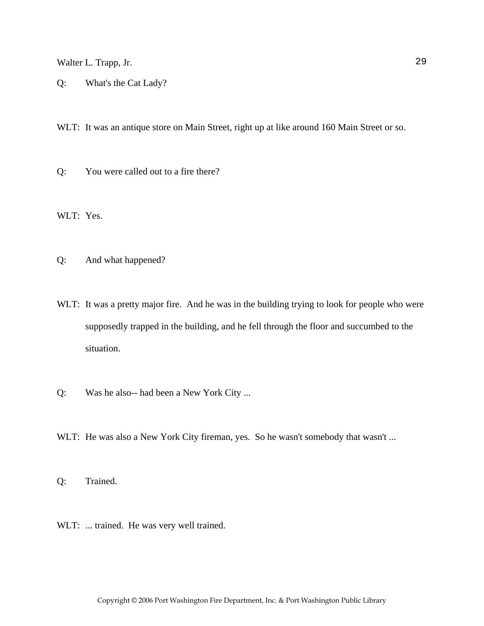Q: What's the Cat Lady?

WLT: It was an antique store on Main Street, right up at like around 160 Main Street or so.

Q: You were called out to a fire there?

WLT: Yes.

Q: And what happened?

- WLT: It was a pretty major fire. And he was in the building trying to look for people who were supposedly trapped in the building, and he fell through the floor and succumbed to the situation.
- Q: Was he also-- had been a New York City ...
- WLT: He was also a New York City fireman, yes. So he wasn't somebody that wasn't ...

Q: Trained.

WLT: ... trained. He was very well trained.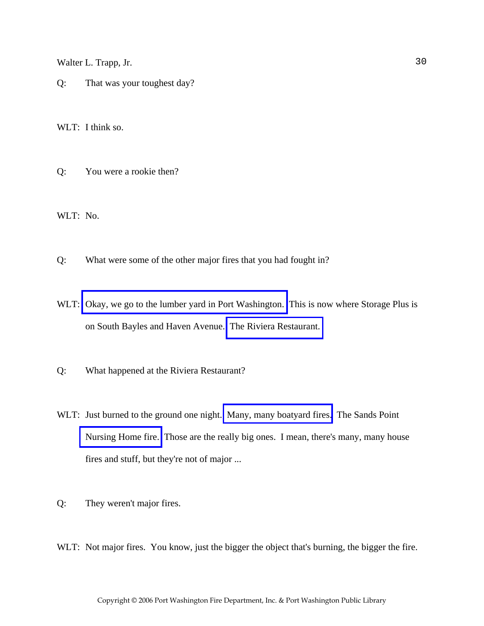Q: That was your toughest day?

WLT: I think so.

Q: You were a rookie then?

WLT: No.

- Q: What were some of the other major fires that you had fought in?
- WLT: [Okay, we go to the lumber yard in Port Washington.](http://www.pwfdhistory.com/trans/trappw_trans/pwfd_news_lumberyd.pdf) This is now where Storage Plus is on South Bayles and Haven Avenue. [The Riviera Restaurant.](http://www.pwfdhistory.com/trans/trappw_trans/pwfd_fires_riviera.pdf)
- Q: What happened at the Riviera Restaurant?
- WLT: Just burned to the ground one night. [Many, many boatyard fires.](http://www.pwfdhistory.com/trans/trappw_trans/news_cocks_boatyardsx.pdf) The Sands Point [Nursing Home fire.](http://www.pwfdhistory.com/trans/trappw_trans/pwfd_news_spnh.pdf) Those are the really big ones. I mean, there's many, many house fires and stuff, but they're not of major ...
- Q: They weren't major fires.
- WLT: Not major fires. You know, just the bigger the object that's burning, the bigger the fire.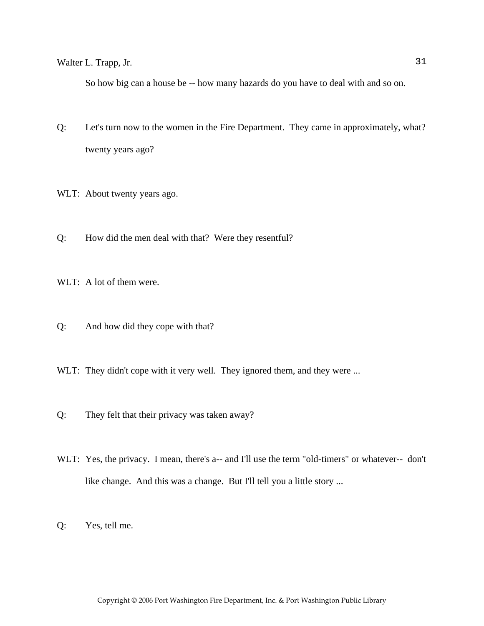So how big can a house be -- how many hazards do you have to deal with and so on.

- Q: Let's turn now to the women in the Fire Department. They came in approximately, what? twenty years ago?
- WLT: About twenty years ago.
- Q: How did the men deal with that? Were they resentful?

WLT: A lot of them were.

- Q: And how did they cope with that?
- WLT: They didn't cope with it very well. They ignored them, and they were ...
- Q: They felt that their privacy was taken away?
- WLT: Yes, the privacy. I mean, there's a-- and I'll use the term "old-timers" or whatever-- don't like change. And this was a change. But I'll tell you a little story ...
- Q: Yes, tell me.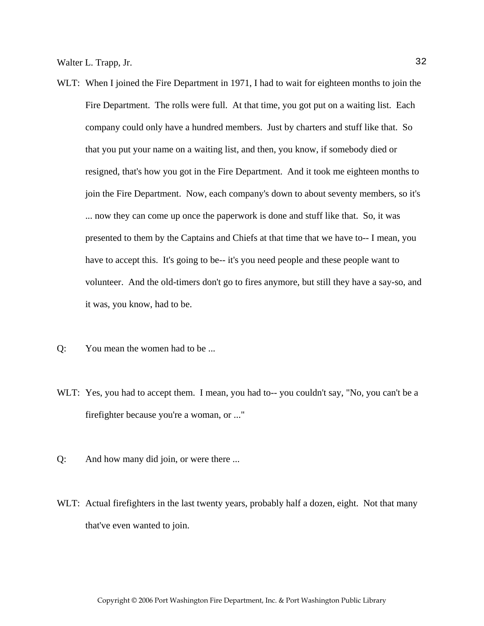- WLT: When I joined the Fire Department in 1971, I had to wait for eighteen months to join the Fire Department. The rolls were full. At that time, you got put on a waiting list. Each company could only have a hundred members. Just by charters and stuff like that. So that you put your name on a waiting list, and then, you know, if somebody died or resigned, that's how you got in the Fire Department. And it took me eighteen months to join the Fire Department. Now, each company's down to about seventy members, so it's ... now they can come up once the paperwork is done and stuff like that. So, it was presented to them by the Captains and Chiefs at that time that we have to-- I mean, you have to accept this. It's going to be-- it's you need people and these people want to volunteer. And the old-timers don't go to fires anymore, but still they have a say-so, and it was, you know, had to be.
- Q: You mean the women had to be ...
- WLT: Yes, you had to accept them. I mean, you had to-- you couldn't say, "No, you can't be a firefighter because you're a woman, or ..."
- Q: And how many did join, or were there ...
- WLT: Actual firefighters in the last twenty years, probably half a dozen, eight. Not that many that've even wanted to join.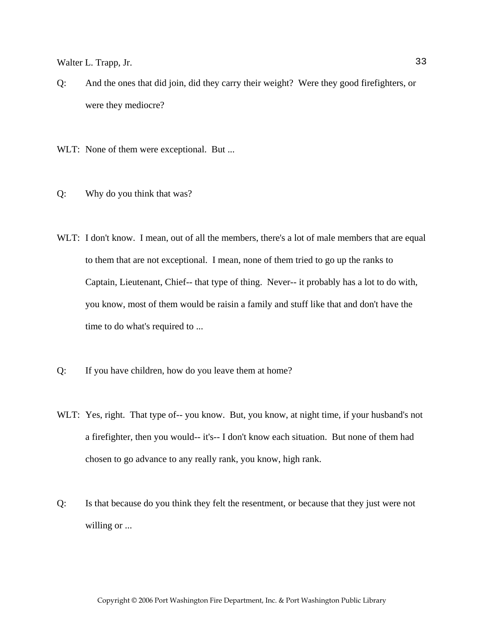- Q: And the ones that did join, did they carry their weight? Were they good firefighters, or were they mediocre?
- WLT: None of them were exceptional. But ...
- Q: Why do you think that was?
- WLT: I don't know. I mean, out of all the members, there's a lot of male members that are equal to them that are not exceptional. I mean, none of them tried to go up the ranks to Captain, Lieutenant, Chief-- that type of thing. Never-- it probably has a lot to do with, you know, most of them would be raisin a family and stuff like that and don't have the time to do what's required to ...
- Q: If you have children, how do you leave them at home?
- WLT: Yes, right. That type of-- you know. But, you know, at night time, if your husband's not a firefighter, then you would-- it's-- I don't know each situation. But none of them had chosen to go advance to any really rank, you know, high rank.
- Q: Is that because do you think they felt the resentment, or because that they just were not willing or ...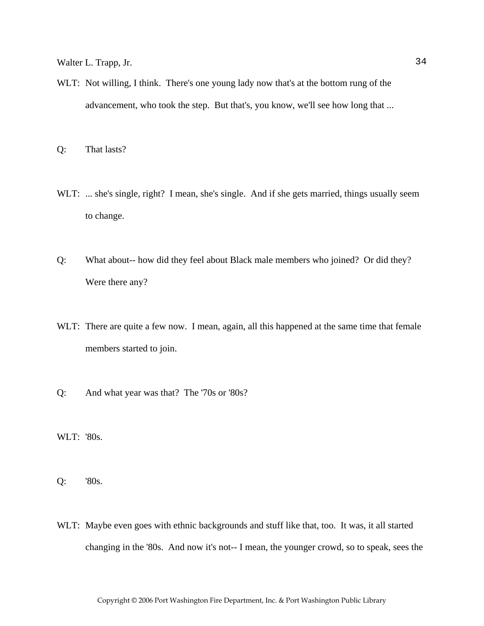- WLT: Not willing, I think. There's one young lady now that's at the bottom rung of the advancement, who took the step. But that's, you know, we'll see how long that ...
- Q: That lasts?
- WLT: ... she's single, right? I mean, she's single. And if she gets married, things usually seem to change.
- Q: What about-- how did they feel about Black male members who joined? Or did they? Were there any?
- WLT: There are quite a few now. I mean, again, all this happened at the same time that female members started to join.
- Q: And what year was that? The '70s or '80s?

WLT: '80s.

Q: '80s.

WLT: Maybe even goes with ethnic backgrounds and stuff like that, too. It was, it all started changing in the '80s. And now it's not-- I mean, the younger crowd, so to speak, sees the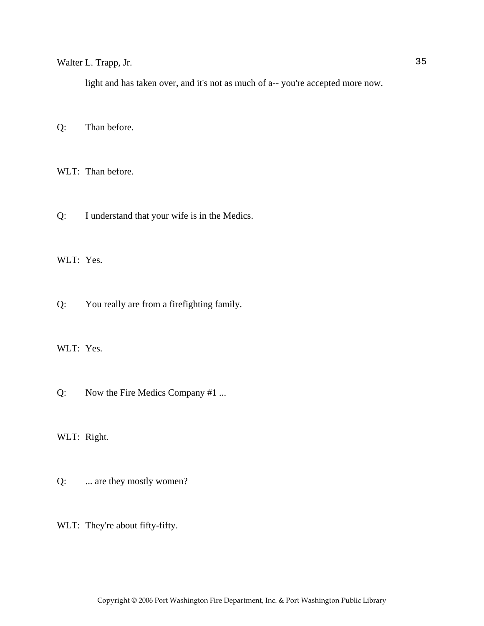light and has taken over, and it's not as much of a-- you're accepted more now.

Q: Than before.

WLT: Than before.

Q: I understand that your wife is in the Medics.

WLT: Yes.

Q: You really are from a firefighting family.

WLT: Yes.

Q: Now the Fire Medics Company #1 ...

WLT: Right.

Q: ... are they mostly women?

WLT: They're about fifty-fifty.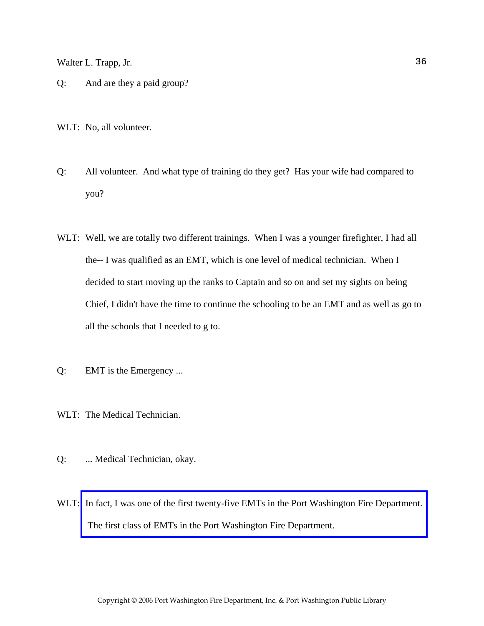Q: And are they a paid group?

WLT: No, all volunteer.

- Q: All volunteer. And what type of training do they get? Has your wife had compared to you?
- WLT: Well, we are totally two different trainings. When I was a younger firefighter, I had all the-- I was qualified as an EMT, which is one level of medical technician. When I decided to start moving up the ranks to Captain and so on and set my sights on being Chief, I didn't have the time to continue the schooling to be an EMT and as well as go to all the schools that I needed to g to.
- Q: EMT is the Emergency ...
- WLT: The Medical Technician.
- Q: ... Medical Technician, okay.
- WLT: In fact, I was one of the first twenty-five EMTs in the Port Washington Fire Department. The first class of EMTs in the Port Washington Fire Department.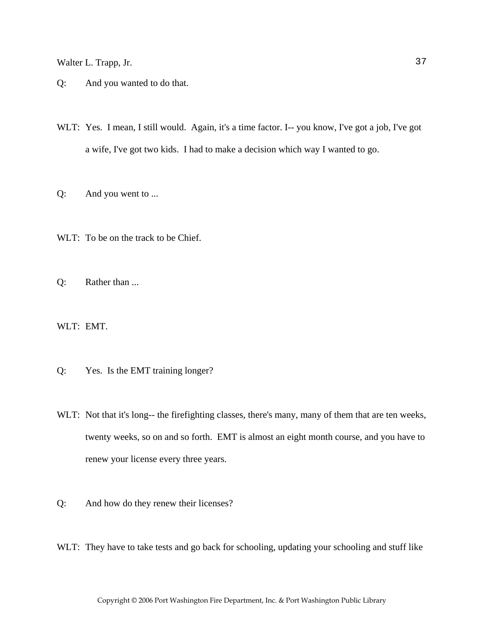- Q: And you wanted to do that.
- WLT: Yes. I mean, I still would. Again, it's a time factor. I-- you know, I've got a job, I've got a wife, I've got two kids. I had to make a decision which way I wanted to go.
- Q: And you went to ...
- WLT: To be on the track to be Chief.
- Q: Rather than ...

WLT: EMT.

- Q: Yes. Is the EMT training longer?
- WLT: Not that it's long-- the firefighting classes, there's many, many of them that are ten weeks, twenty weeks, so on and so forth. EMT is almost an eight month course, and you have to renew your license every three years.
- Q: And how do they renew their licenses?
- WLT: They have to take tests and go back for schooling, updating your schooling and stuff like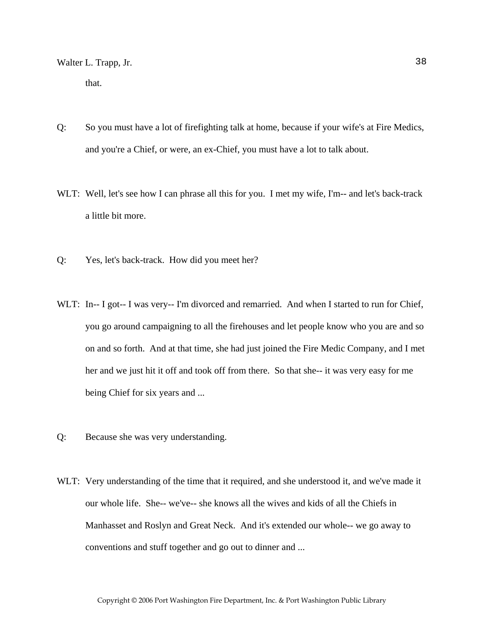that.

- Q: So you must have a lot of firefighting talk at home, because if your wife's at Fire Medics, and you're a Chief, or were, an ex-Chief, you must have a lot to talk about.
- WLT: Well, let's see how I can phrase all this for you. I met my wife, I'm-- and let's back-track a little bit more.
- Q: Yes, let's back-track. How did you meet her?
- WLT: In-- I got-- I was very-- I'm divorced and remarried. And when I started to run for Chief, you go around campaigning to all the firehouses and let people know who you are and so on and so forth. And at that time, she had just joined the Fire Medic Company, and I met her and we just hit it off and took off from there. So that she-- it was very easy for me being Chief for six years and ...
- Q: Because she was very understanding.
- WLT: Very understanding of the time that it required, and she understood it, and we've made it our whole life. She-- we've-- she knows all the wives and kids of all the Chiefs in Manhasset and Roslyn and Great Neck. And it's extended our whole-- we go away to conventions and stuff together and go out to dinner and ...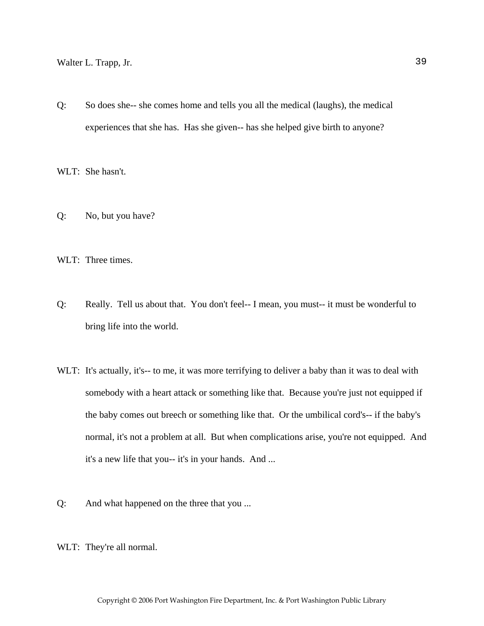Q: So does she-- she comes home and tells you all the medical (laughs), the medical experiences that she has. Has she given-- has she helped give birth to anyone?

WLT: She hasn't.

- Q: No, but you have?
- WLT: Three times.
- Q: Really. Tell us about that. You don't feel-- I mean, you must-- it must be wonderful to bring life into the world.
- WLT: It's actually, it's-- to me, it was more terrifying to deliver a baby than it was to deal with somebody with a heart attack or something like that. Because you're just not equipped if the baby comes out breech or something like that. Or the umbilical cord's-- if the baby's normal, it's not a problem at all. But when complications arise, you're not equipped. And it's a new life that you-- it's in your hands. And ...
- Q: And what happened on the three that you ...
- WLT: They're all normal.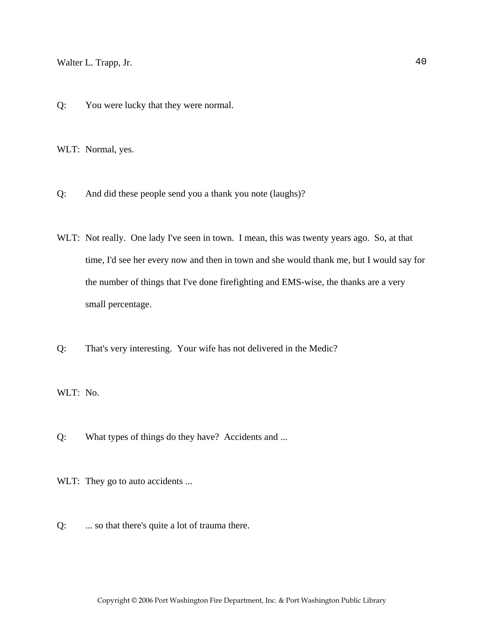Q: You were lucky that they were normal.

WLT: Normal, yes.

- Q: And did these people send you a thank you note (laughs)?
- WLT: Not really. One lady I've seen in town. I mean, this was twenty years ago. So, at that time, I'd see her every now and then in town and she would thank me, but I would say for the number of things that I've done firefighting and EMS-wise, the thanks are a very small percentage.
- Q: That's very interesting. Your wife has not delivered in the Medic?

WLT: No.

- Q: What types of things do they have? Accidents and ...
- WLT: They go to auto accidents ...
- Q: ... so that there's quite a lot of trauma there.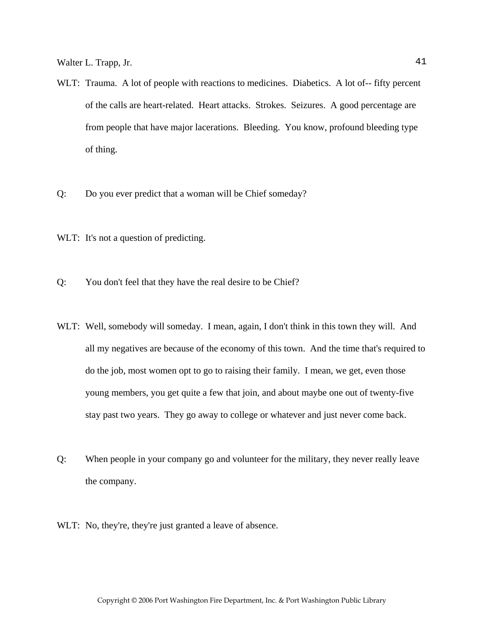- WLT: Trauma. A lot of people with reactions to medicines. Diabetics. A lot of-- fifty percent of the calls are heart-related. Heart attacks. Strokes. Seizures. A good percentage are from people that have major lacerations. Bleeding. You know, profound bleeding type of thing.
- Q: Do you ever predict that a woman will be Chief someday?
- WLT: It's not a question of predicting.
- Q: You don't feel that they have the real desire to be Chief?
- WLT: Well, somebody will someday. I mean, again, I don't think in this town they will. And all my negatives are because of the economy of this town. And the time that's required to do the job, most women opt to go to raising their family. I mean, we get, even those young members, you get quite a few that join, and about maybe one out of twenty-five stay past two years. They go away to college or whatever and just never come back.
- Q: When people in your company go and volunteer for the military, they never really leave the company.
- WLT: No, they're, they're just granted a leave of absence.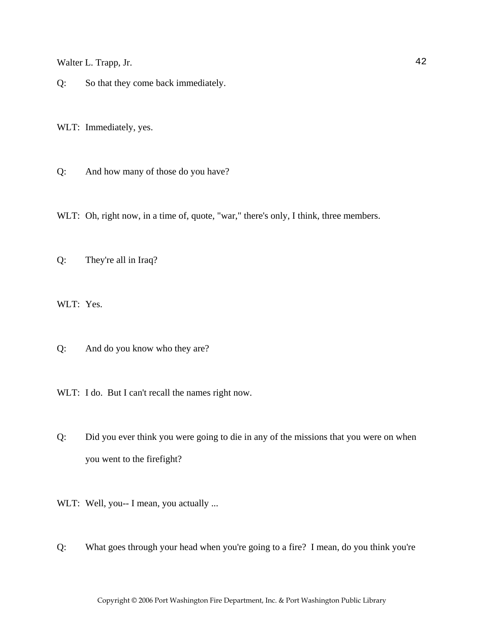Q: So that they come back immediately.

WLT: Immediately, yes.

Q: And how many of those do you have?

WLT: Oh, right now, in a time of, quote, "war," there's only, I think, three members.

Q: They're all in Iraq?

WLT: Yes.

Q: And do you know who they are?

WLT: I do. But I can't recall the names right now.

Q: Did you ever think you were going to die in any of the missions that you were on when you went to the firefight?

WLT: Well, you-- I mean, you actually ...

Q: What goes through your head when you're going to a fire? I mean, do you think you're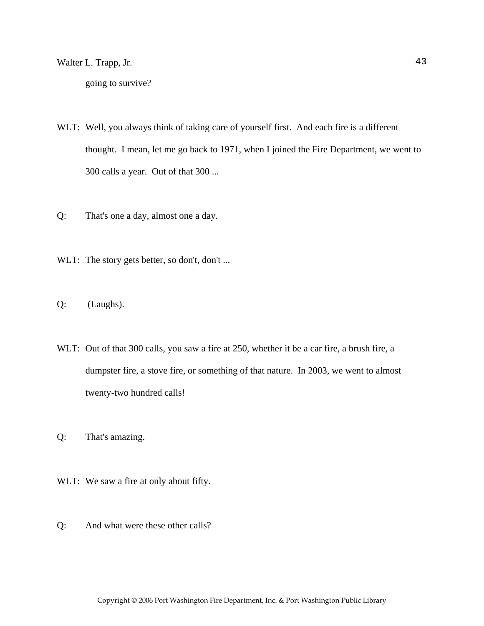going to survive?

- WLT: Well, you always think of taking care of yourself first. And each fire is a different thought. I mean, let me go back to 1971, when I joined the Fire Department, we went to 300 calls a year. Out of that 300 ...
- Q: That's one a day, almost one a day.
- WLT: The story gets better, so don't, don't ...
- Q: (Laughs).
- WLT: Out of that 300 calls, you saw a fire at 250, whether it be a car fire, a brush fire, a dumpster fire, a stove fire, or something of that nature. In 2003, we went to almost twenty-two hundred calls!
- Q: That's amazing.
- WLT: We saw a fire at only about fifty.
- Q: And what were these other calls?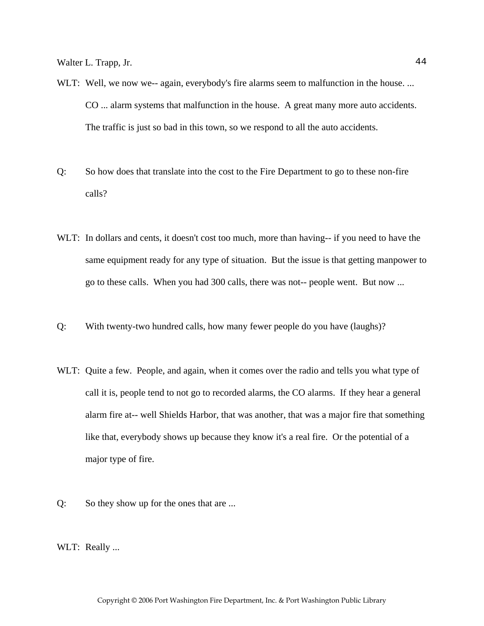- WLT: Well, we now we-- again, everybody's fire alarms seem to malfunction in the house. ... CO ... alarm systems that malfunction in the house. A great many more auto accidents. The traffic is just so bad in this town, so we respond to all the auto accidents.
- Q: So how does that translate into the cost to the Fire Department to go to these non-fire calls?
- WLT: In dollars and cents, it doesn't cost too much, more than having-- if you need to have the same equipment ready for any type of situation. But the issue is that getting manpower to go to these calls. When you had 300 calls, there was not-- people went. But now ...
- Q: With twenty-two hundred calls, how many fewer people do you have (laughs)?
- WLT: Quite a few. People, and again, when it comes over the radio and tells you what type of call it is, people tend to not go to recorded alarms, the CO alarms. If they hear a general alarm fire at-- well Shields Harbor, that was another, that was a major fire that something like that, everybody shows up because they know it's a real fire. Or the potential of a major type of fire.
- Q: So they show up for the ones that are ...
- WLT: Really ...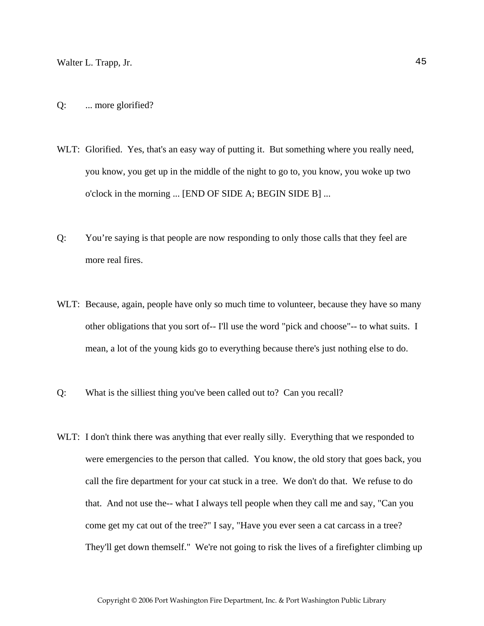- Q: ... more glorified?
- WLT: Glorified. Yes, that's an easy way of putting it. But something where you really need, you know, you get up in the middle of the night to go to, you know, you woke up two o'clock in the morning ... [END OF SIDE A; BEGIN SIDE B] ...
- Q: You're saying is that people are now responding to only those calls that they feel are more real fires.
- WLT: Because, again, people have only so much time to volunteer, because they have so many other obligations that you sort of-- I'll use the word "pick and choose"-- to what suits. I mean, a lot of the young kids go to everything because there's just nothing else to do.
- Q: What is the silliest thing you've been called out to? Can you recall?
- WLT: I don't think there was anything that ever really silly. Everything that we responded to were emergencies to the person that called. You know, the old story that goes back, you call the fire department for your cat stuck in a tree. We don't do that. We refuse to do that. And not use the-- what I always tell people when they call me and say, "Can you come get my cat out of the tree?" I say, "Have you ever seen a cat carcass in a tree? They'll get down themself." We're not going to risk the lives of a firefighter climbing up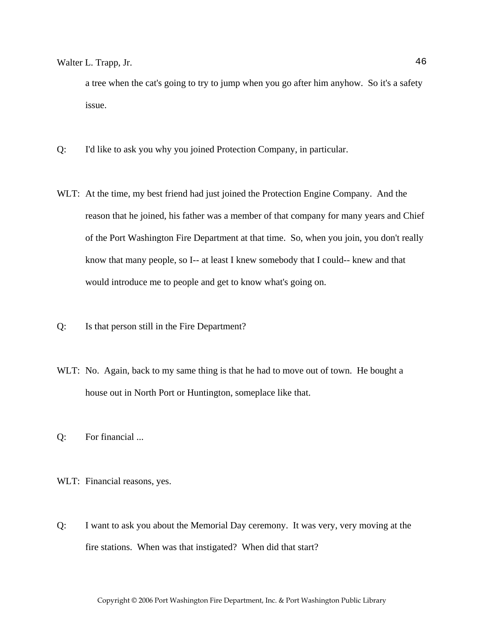a tree when the cat's going to try to jump when you go after him anyhow. So it's a safety issue.

- Q: I'd like to ask you why you joined Protection Company, in particular.
- WLT: At the time, my best friend had just joined the Protection Engine Company. And the reason that he joined, his father was a member of that company for many years and Chief of the Port Washington Fire Department at that time. So, when you join, you don't really know that many people, so I-- at least I knew somebody that I could-- knew and that would introduce me to people and get to know what's going on.
- Q: Is that person still in the Fire Department?
- WLT: No. Again, back to my same thing is that he had to move out of town. He bought a house out in North Port or Huntington, someplace like that.
- Q: For financial ...
- WLT: Financial reasons, yes.
- Q: I want to ask you about the Memorial Day ceremony. It was very, very moving at the fire stations. When was that instigated? When did that start?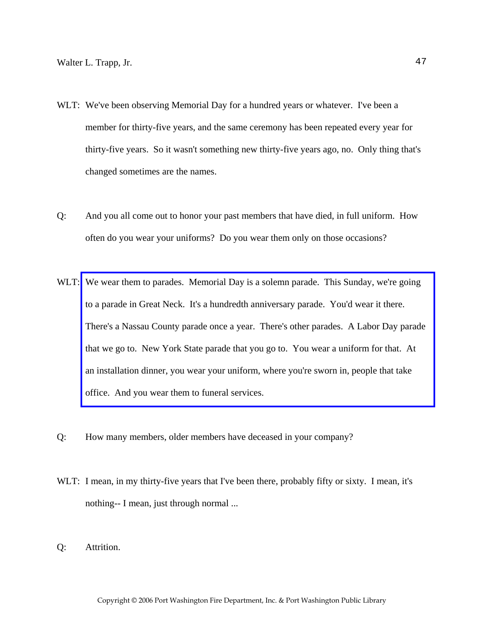- WLT: We've been observing Memorial Day for a hundred years or whatever. I've been a member for thirty-five years, and the same ceremony has been repeated every year for thirty-five years. So it wasn't something new thirty-five years ago, no. Only thing that's changed sometimes are the names.
- Q: And you all come out to honor your past members that have died, in full uniform. How often do you wear your uniforms? Do you wear them only on those occasions?
- WLT: We wear them to parades. Memorial Day is a solemn parade. This Sunday, we're going to a parade in Great Neck. It's a hundredth anniversary parade. You'd wear it there. [There's a Nassau County parade once a year. There's other parades. A Labor Day parade](http://www.pwfdhistory.com/trans/trappw_trans/peco_parades020_web.jpg)  that we go to. New York State parade that you go to. You wear a uniform for that. At an installation dinner, you wear your uniform, where you're sworn in, people that take office. And you wear them to funeral services.
- Q: How many members, older members have deceased in your company?
- WLT: I mean, in my thirty-five years that I've been there, probably fifty or sixty. I mean, it's nothing-- I mean, just through normal ...
- Q: Attrition.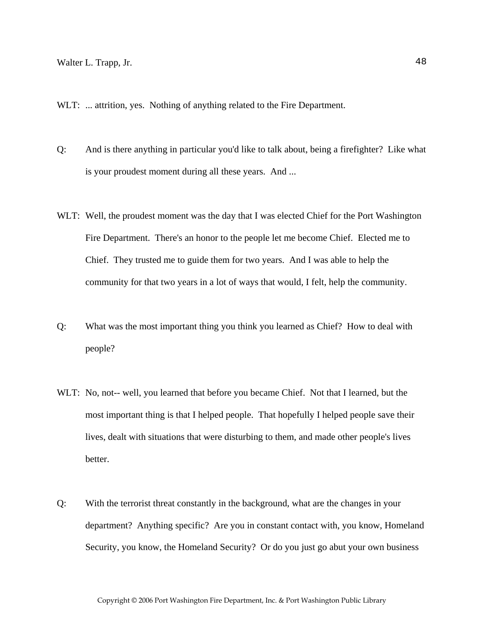WLT: ... attrition, yes. Nothing of anything related to the Fire Department.

- Q: And is there anything in particular you'd like to talk about, being a firefighter? Like what is your proudest moment during all these years. And ...
- WLT: Well, the proudest moment was the day that I was elected Chief for the Port Washington Fire Department. There's an honor to the people let me become Chief. Elected me to Chief. They trusted me to guide them for two years. And I was able to help the community for that two years in a lot of ways that would, I felt, help the community.
- Q: What was the most important thing you think you learned as Chief? How to deal with people?
- WLT: No, not-- well, you learned that before you became Chief. Not that I learned, but the most important thing is that I helped people. That hopefully I helped people save their lives, dealt with situations that were disturbing to them, and made other people's lives better.
- Q: With the terrorist threat constantly in the background, what are the changes in your department? Anything specific? Are you in constant contact with, you know, Homeland Security, you know, the Homeland Security? Or do you just go abut your own business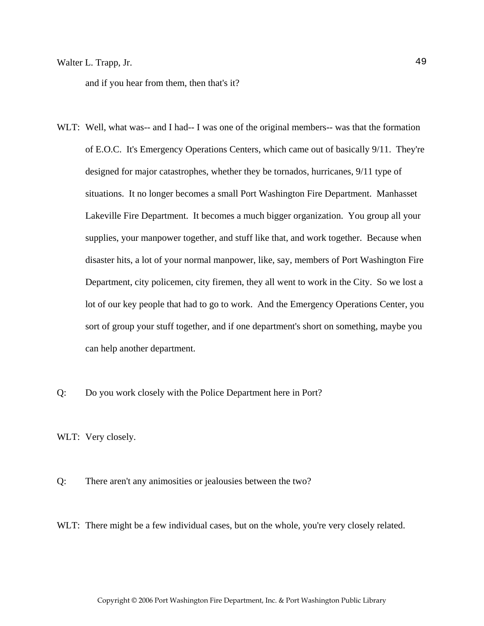and if you hear from them, then that's it?

- WLT: Well, what was-- and I had-- I was one of the original members-- was that the formation of E.O.C. It's Emergency Operations Centers, which came out of basically 9/11. They're designed for major catastrophes, whether they be tornados, hurricanes, 9/11 type of situations. It no longer becomes a small Port Washington Fire Department. Manhasset Lakeville Fire Department. It becomes a much bigger organization. You group all your supplies, your manpower together, and stuff like that, and work together. Because when disaster hits, a lot of your normal manpower, like, say, members of Port Washington Fire Department, city policemen, city firemen, they all went to work in the City. So we lost a lot of our key people that had to go to work. And the Emergency Operations Center, you sort of group your stuff together, and if one department's short on something, maybe you can help another department.
- Q: Do you work closely with the Police Department here in Port?

WLT: Very closely.

Q: There aren't any animosities or jealousies between the two?

WLT: There might be a few individual cases, but on the whole, you're very closely related.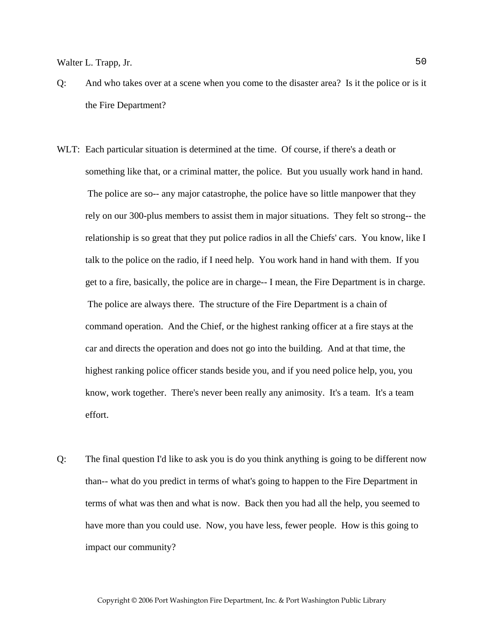- Q: And who takes over at a scene when you come to the disaster area? Is it the police or is it the Fire Department?
- WLT: Each particular situation is determined at the time. Of course, if there's a death or something like that, or a criminal matter, the police. But you usually work hand in hand. The police are so-- any major catastrophe, the police have so little manpower that they rely on our 300-plus members to assist them in major situations. They felt so strong-- the relationship is so great that they put police radios in all the Chiefs' cars. You know, like I talk to the police on the radio, if I need help. You work hand in hand with them. If you get to a fire, basically, the police are in charge-- I mean, the Fire Department is in charge. The police are always there. The structure of the Fire Department is a chain of command operation. And the Chief, or the highest ranking officer at a fire stays at the car and directs the operation and does not go into the building. And at that time, the highest ranking police officer stands beside you, and if you need police help, you, you know, work together. There's never been really any animosity. It's a team. It's a team effort.
- Q: The final question I'd like to ask you is do you think anything is going to be different now than-- what do you predict in terms of what's going to happen to the Fire Department in terms of what was then and what is now. Back then you had all the help, you seemed to have more than you could use. Now, you have less, fewer people. How is this going to impact our community?